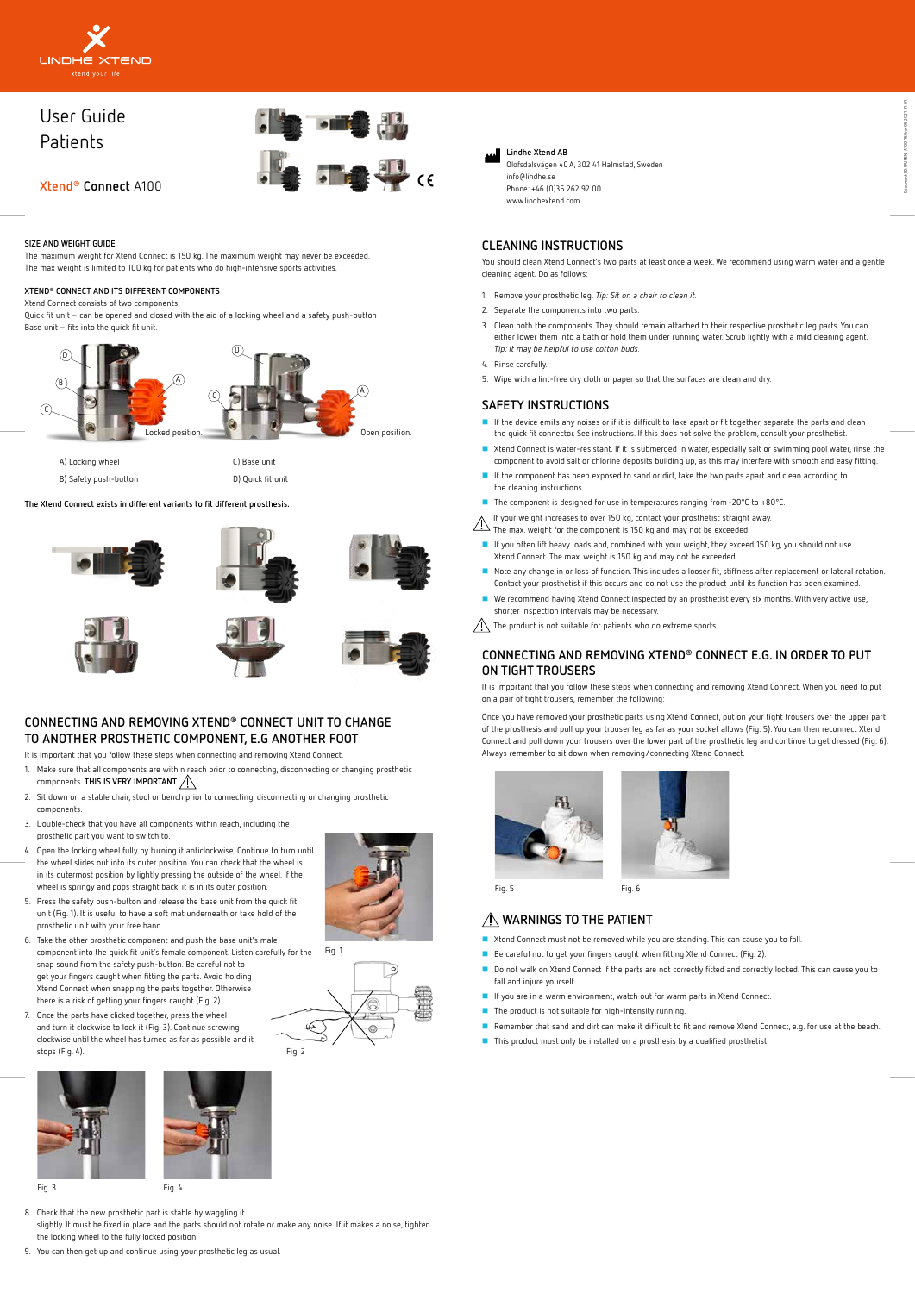## **SIZE AND WEIGHT GUIDE**

The maximum weight for Xtend Connect is 150 kg. The maximum weight may never be exceeded. The max weight is limited to 100 kg for patients who do high-intensive sports activities.

### **XTEND® CONNECT AND ITS DIFFERENT COMPONENTS**

Xtend Connect consists of two components:

Quick fit unit – can be opened and closed with the aid of a locking wheel and a safety push-button Base unit – fits into the quick fit unit.



# **CONNECTING AND REMOVING XTEND® CONNECT UNIT TO CHANGE TO ANOTHER PROSTHETIC COMPONENT, E.G ANOTHER FOOT**

It is important that you follow these steps when connecting and removing Xtend Connect.

- 1. Make sure that all components are within reach prior to connecting, disconnecting or changing prosthetic components. **THIS IS VERY IMPORTANT**
- 2. Sit down on a stable chair, stool or bench prior to connecting, disconnecting or changing prosthetic components.
- 3. Double-check that you have all components within reach, including the prosthetic part you want to switch to.
- 4. Open the locking wheel fully by turning it anticlockwise. Continue to turn until the wheel slides out into its outer position. You can check that the wheel is in its outermost position by lightly pressing the outside of the wheel. If the wheel is springy and pops straight back, it is in its outer position.
- 5. Press the safety push-button and release the base unit from the quick fit unit (Fig. 1). It is useful to have a soft mat underneath or take hold of the prosthetic unit with your free hand.
- 6. Take the other prosthetic component and push the base unit's male component into the quick fit unit's female component. Listen carefully for the snap sound from the safety push-button. Be careful not to get your fingers caught when fitting the parts. Avoid holding Xtend Connect when snapping the parts together. Otherwise there is a risk of getting your fingers caught (Fig. 2).



 $\circ$ 

7. Once the parts have clicked together, press the wheel and turn it clockwise to lock it (Fig. 3). Continue screwing clockwise until the wheel has turned as far as possible and it stops (Fig. 4).

8. Check that the new prosthetic part is stable by waggling it

slightly. It must be fixed in place and the parts should not rotate or make any noise. If it makes a noise, tighten the locking wheel to the fully locked position.

9. You can then get up and continue using your prosthetic leg as usual.

# **CLEANING INSTRUCTIONS**

You should clean Xtend Connect's two parts at least once a week. We recommend using warm water and a gentle cleaning agent. Do as follows:

- Xtend Connect must not be removed while you are standing. This can cause you to fall.
- Be careful not to get your fingers caught when fitting Xtend Connect (Fig. 2).
- Do not walk on Xtend Connect if the parts are not correctly fitted and correctly locked. This can cause you to
- 1. Remove your prosthetic leg. *Tip: Sit on a chair to clean it.*
- 2. Separate the components into two parts.
- 3. Clean both the components. They should remain attached to their respective prosthetic leg parts. You can either lower them into a bath or hold them under running water. Scrub lightly with a mild cleaning agent. *Tip: It may be helpful to use cotton buds.*
- 4. Rinse carefully.
- 5. Wipe with a lint-free dry cloth or paper so that the surfaces are clean and dry.

## **SAFETY INSTRUCTIONS**

- If the device emits any noises or if it is difficult to take apart or fit together, separate the parts and clean the quick fit connector. See instructions. If this does not solve the problem, consult your prosthetist.
- Xtend Connect is water-resistant. If it is submerged in water, especially salt or swimming pool water, rinse the component to avoid salt or chlorine deposits building up, as this may interfere with smooth and easy fitting.
- If the component has been exposed to sand or dirt, take the two parts apart and clean according to the cleaning instructions.
- The component is designed for use in temperatures ranging from -20°C to +80°C.
- If your weight increases to over 150 kg, contact your prosthetist straight away.
- $\triangle$  The max. weight for the component is 150 kg and may not be exceeded.
- If you often lift heavy loads and, combined with your weight, they exceed 150 kg, you should not use Xtend Connect. The max. weight is 150 kg and may not be exceeded.
- Note any change in or loss of function. This includes a looser fit, stiffness after replacement or lateral rotation. Contact your prosthetist if this occurs and do not use the product until its function has been examined.
- We recommend having Xtend Connect inspected by an prosthetist every six months. With very active use, shorter inspection intervals may be necessary.
- $\sqrt{N}$  The product is not suitable for patients who do extreme sports.



# User Guide **Patients**



# **CONNECTING AND REMOVING XTEND® CONNECT E.G. IN ORDER TO PUT ON TIGHT TROUSERS**

It is important that you follow these steps when connecting and removing Xtend Connect. When you need to put on a pair of tight trousers, remember the following:

Once you have removed your prosthetic parts using Xtend Connect, put on your tight trousers over the upper part of the prosthesis and pull up your trouser leg as far as your socket allows (Fig. 5). You can then reconnect Xtend Connect and pull down your trousers over the lower part of the prosthetic leg and continue to get dressed (Fig. 6). Always remember to sit down when removing/connecting Xtend Connect.



# **WARNINGS TO THE PATIENT**

- fall and injure yourself.
- **If** you are in a warm environment, watch out for warm parts in Xtend Connect.
- **The product is not suitable for high-intensity running.**
- Remember that sand and dirt can make it difficult to fit and remove Xtend Connect, e.g. for use at the beach.
- This product must only be installed on a prosthesis by a qualified prosthetist.



Fig. 1

Fig. 3 Fig. 4



Fig. 5 Fig. 6

| A) Locking wheel      | C) Base unit      |
|-----------------------|-------------------|
| B) Safety push-button | D) Quick fit unit |



## **The Xtend Connect exists in different variants to fit different prosthesis.**













**Lindhe Xtend AB** Olofsdalsvägen 40 A, 302 41 Halmstad, Sweden info@lindhe.se Phone: +46 (0)35 262 92 00 www.lindhextend.com

**Xtend® Connect** A100